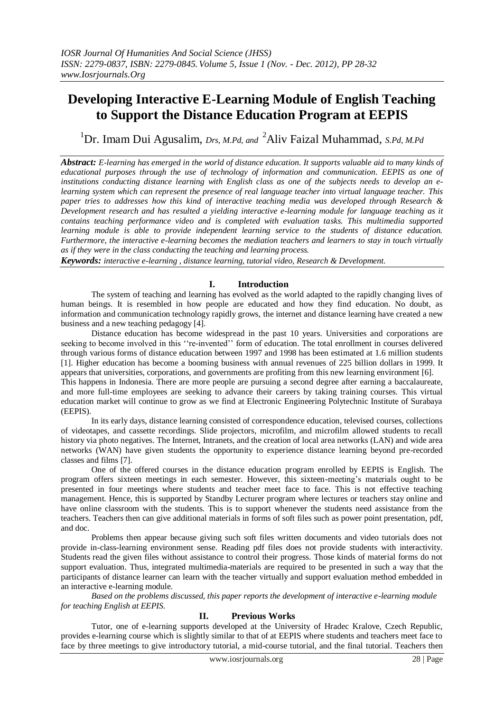# **Developing Interactive E-Learning Module of English Teaching to Support the Distance Education Program at EEPIS**

<sup>1</sup>Dr. Imam Dui Agusalim, *Drs, M.Pd, and* <sup>2</sup>Aliv Faizal Muhammad, *S.Pd, M.Pd*

*Abstract: E-learning has emerged in the world of distance education. It supports valuable aid to many kinds of educational purposes through the use of technology of information and communication. EEPIS as one of institutions conducting distance learning with English class as one of the subjects needs to develop an elearning system which can represent the presence of real language teacher into virtual language teacher. This paper tries to addresses how this kind of interactive teaching media was developed through Research & Development research and has resulted a yielding interactive e-learning module for language teaching as it contains teaching performance video and is completed with evaluation tasks. This multimedia supported learning module is able to provide independent learning service to the students of distance education. Furthermore, the interactive e-learning becomes the mediation teachers and learners to stay in touch virtually as if they were in the class conducting the teaching and learning process.* 

*Keywords: interactive e-learning , distance learning, tutorial video, Research & Development.*

## **I. Introduction**

The system of teaching and learning has evolved as the world adapted to the rapidly changing lives of human beings. It is resembled in how people are educated and how they find education. No doubt, as information and communication technology rapidly grows, the internet and distance learning have created a new business and a new teaching pedagogy [4].

Distance education has become widespread in the past 10 years. Universities and corporations are seeking to become involved in this "re-invented" form of education. The total enrollment in courses delivered through various forms of distance education between 1997 and 1998 has been estimated at 1.6 million students [1]. Higher education has become a booming business with annual revenues of 225 billion dollars in 1999. It appears that universities, corporations, and governments are profiting from this new learning environment [6]. This happens in Indonesia. There are more people are pursuing a second degree after earning a baccalaureate,

and more full-time employees are seeking to advance their careers by taking training courses. This virtual education market will continue to grow as we find at Electronic Engineering Polytechnic Institute of Surabaya (EEPIS).

In its early days, distance learning consisted of correspondence education, televised courses, collections of videotapes, and cassette recordings. Slide projectors, microfilm, and microfilm allowed students to recall history via photo negatives. The Internet, Intranets, and the creation of local area networks (LAN) and wide area networks (WAN) have given students the opportunity to experience distance learning beyond pre-recorded classes and films [7].

One of the offered courses in the distance education program enrolled by EEPIS is English. The program offers sixteen meetings in each semester. However, this sixteen-meeting's materials ought to be presented in four meetings where students and teacher meet face to face. This is not effective teaching management. Hence, this is supported by Standby Lecturer program where lectures or teachers stay online and have online classroom with the students. This is to support whenever the students need assistance from the teachers. Teachers then can give additional materials in forms of soft files such as power point presentation, pdf, and doc.

Problems then appear because giving such soft files written documents and video tutorials does not provide in-class-learning environment sense. Reading pdf files does not provide students with interactivity. Students read the given files without assistance to control their progress. Those kinds of material forms do not support evaluation. Thus, integrated multimedia-materials are required to be presented in such a way that the participants of distance learner can learn with the teacher virtually and support evaluation method embedded in an interactive e-learning module.

*Based on the problems discussed, this paper reports the development of interactive e-learning module for teaching English at EEPIS.* 

## **II. Previous Works**

Tutor, one of e-learning supports developed at the University of Hradec Kralove, Czech Republic, provides e-learning course which is slightly similar to that of at EEPIS where students and teachers meet face to face by three meetings to give introductory tutorial, a mid-course tutorial, and the final tutorial. Teachers then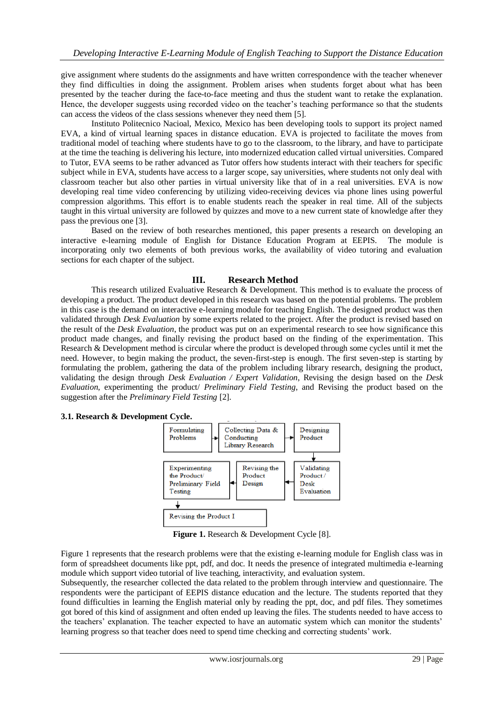give assignment where students do the assignments and have written correspondence with the teacher whenever they find difficulties in doing the assignment. Problem arises when students forget about what has been presented by the teacher during the face-to-face meeting and thus the student want to retake the explanation. Hence, the developer suggests using recorded video on the teacher's teaching performance so that the students can access the videos of the class sessions whenever they need them [5].

Instituto Politecnico Nacioal, Mexico, Mexico has been developing tools to support its project named EVA, a kind of virtual learning spaces in distance education. EVA is projected to facilitate the moves from traditional model of teaching where students have to go to the classroom, to the library, and have to participate at the time the teaching is delivering his lecture, into modernized education called virtual universities. Compared to Tutor, EVA seems to be rather advanced as Tutor offers how students interact with their teachers for specific subject while in EVA, students have access to a larger scope, say universities, where students not only deal with classroom teacher but also other parties in virtual university like that of in a real universities. EVA is now developing real time video conferencing by utilizing video-receiving devices via phone lines using powerful compression algorithms. This effort is to enable students reach the speaker in real time. All of the subjects taught in this virtual university are followed by quizzes and move to a new current state of knowledge after they pass the previous one [3].

Based on the review of both researches mentioned, this paper presents a research on developing an interactive e-learning module of English for Distance Education Program at EEPIS. The module is incorporating only two elements of both previous works, the availability of video tutoring and evaluation sections for each chapter of the subject.

## **III. Research Method**

This research utilized Evaluative Research & Development. This method is to evaluate the process of developing a product. The product developed in this research was based on the potential problems. The problem in this case is the demand on interactive e-learning module for teaching English. The designed product was then validated through *Desk Evaluation* by some experts related to the project. After the product is revised based on the result of the *Desk Evaluation*, the product was put on an experimental research to see how significance this product made changes, and finally revising the product based on the finding of the experimentation. This Research & Development method is circular where the product is developed through some cycles until it met the need. However, to begin making the product, the seven-first-step is enough. The first seven-step is starting by formulating the problem, gathering the data of the problem including library research, designing the product, validating the design through *Desk Evaluation / Expert Validation*, Revising the design based on the *Desk Evaluation*, experimenting the product/ *Preliminary Field Testing*, and Revising the product based on the suggestion after the *Preliminary Field Testing* [2].

#### **3.1. Research & Development Cycle.**



**Figure 1.** Research & Development Cycle [8].

Figure 1 represents that the research problems were that the existing e-learning module for English class was in form of spreadsheet documents like ppt, pdf, and doc. It needs the presence of integrated multimedia e-learning module which support video tutorial of live teaching, interactivity, and evaluation system.

Subsequently, the researcher collected the data related to the problem through interview and questionnaire. The respondents were the participant of EEPIS distance education and the lecture. The students reported that they found difficulties in learning the English material only by reading the ppt, doc, and pdf files. They sometimes got bored of this kind of assignment and often ended up leaving the files. The students needed to have access to the teachers' explanation. The teacher expected to have an automatic system which can monitor the students' learning progress so that teacher does need to spend time checking and correcting students' work.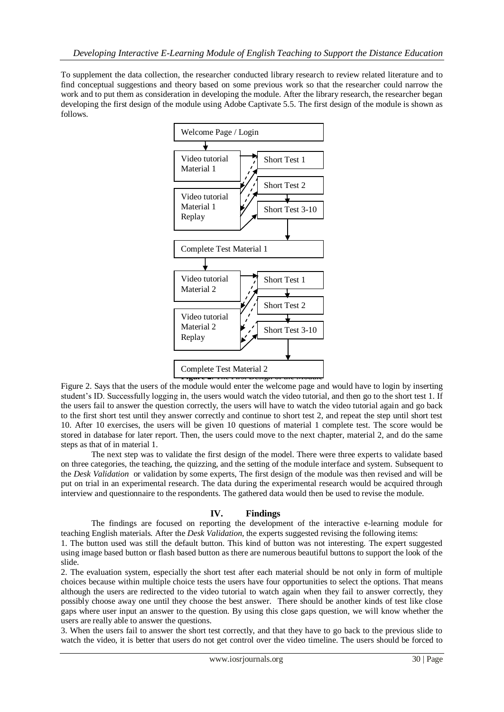To supplement the data collection, the researcher conducted library research to review related literature and to find conceptual suggestions and theory based on some previous work so that the researcher could narrow the work and to put them as consideration in developing the module. After the library research, the researcher began developing the first design of the module using Adobe Captivate 5.5. The first design of the module is shown as follows.



Figure 2. Says that the users of the module would enter the welcome page and would have to login by inserting student's ID. Successfully logging in, the users would watch the video tutorial, and then go to the short test 1. If the users fail to answer the question correctly, the users will have to watch the video tutorial again and go back to the first short test until they answer correctly and continue to short test 2, and repeat the step until short test 10. After 10 exercises, the users will be given 10 questions of material 1 complete test. The score would be stored in database for later report. Then, the users could move to the next chapter, material 2, and do the same steps as that of in material 1.

The next step was to validate the first design of the model. There were three experts to validate based on three categories, the teaching, the quizzing, and the setting of the module interface and system. Subsequent to the *Desk Validation* or validation by some experts, The first design of the module was then revised and will be put on trial in an experimental research. The data during the experimental research would be acquired through interview and questionnaire to the respondents. The gathered data would then be used to revise the module.

## **IV. Findings**

The findings are focused on reporting the development of the interactive e-learning module for teaching English materials. After the *Desk Validation*, the experts suggested revising the following items:

1. The button used was still the default button. This kind of button was not interesting. The expert suggested using image based button or flash based button as there are numerous beautiful buttons to support the look of the slide.

2. The evaluation system, especially the short test after each material should be not only in form of multiple choices because within multiple choice tests the users have four opportunities to select the options. That means although the users are redirected to the video tutorial to watch again when they fail to answer correctly, they possibly choose away one until they choose the best answer. There should be another kinds of test like close gaps where user input an answer to the question. By using this close gaps question, we will know whether the users are really able to answer the questions.

3. When the users fail to answer the short test correctly, and that they have to go back to the previous slide to watch the video, it is better that users do not get control over the video timeline. The users should be forced to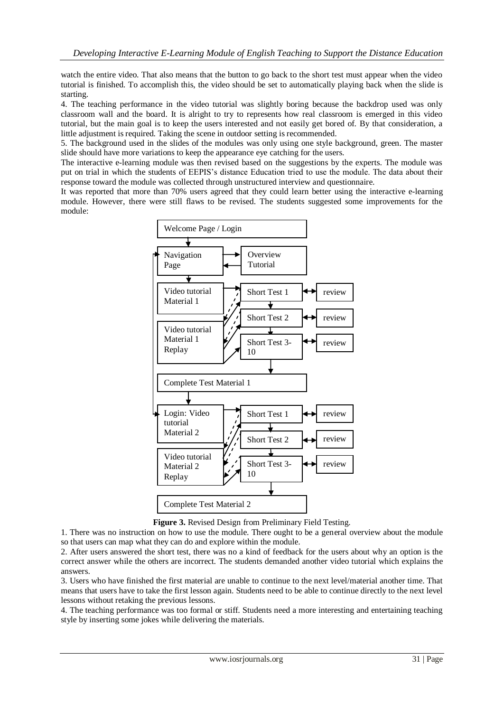watch the entire video. That also means that the button to go back to the short test must appear when the video tutorial is finished. To accomplish this, the video should be set to automatically playing back when the slide is starting.

4. The teaching performance in the video tutorial was slightly boring because the backdrop used was only classroom wall and the board. It is alright to try to represents how real classroom is emerged in this video tutorial, but the main goal is to keep the users interested and not easily get bored of. By that consideration, a little adjustment is required. Taking the scene in outdoor setting is recommended.

5. The background used in the slides of the modules was only using one style background, green. The master slide should have more variations to keep the appearance eye catching for the users.

The interactive e-learning module was then revised based on the suggestions by the experts. The module was put on trial in which the students of EEPIS's distance Education tried to use the module. The data about their response toward the module was collected through unstructured interview and questionnaire.

It was reported that more than 70% users agreed that they could learn better using the interactive e-learning module. However, there were still flaws to be revised. The students suggested some improvements for the module:



**Figure 3.** Revised Design from Preliminary Field Testing.

1. There was no instruction on how to use the module. There ought to be a general overview about the module so that users can map what they can do and explore within the module.

2. After users answered the short test, there was no a kind of feedback for the users about why an option is the correct answer while the others are incorrect. The students demanded another video tutorial which explains the answers.

3. Users who have finished the first material are unable to continue to the next level/material another time. That means that users have to take the first lesson again. Students need to be able to continue directly to the next level lessons without retaking the previous lessons.

4. The teaching performance was too formal or stiff. Students need a more interesting and entertaining teaching style by inserting some jokes while delivering the materials.